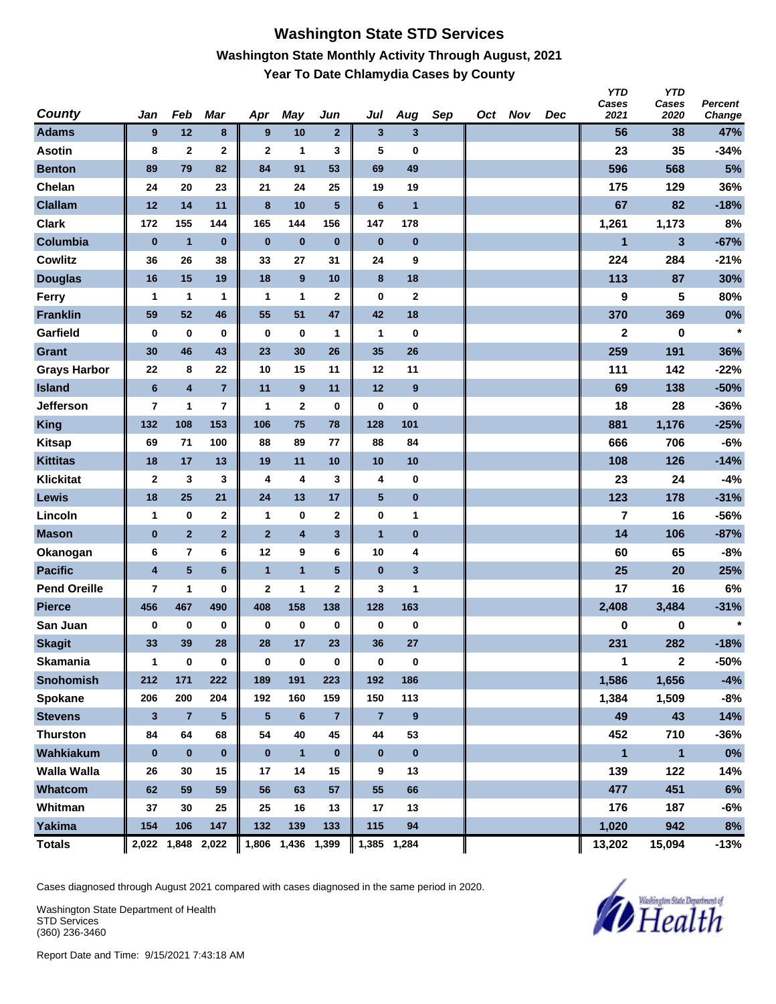### **Washington State STD Services Washington State Monthly Activity Through August, 2021 Year To Date Chlamydia Cases by County**

| <b>County</b>       | Jan                     | Feb                     | Mar             | Apr            | <b>May</b>        | Jun            | Jul            | Aug                     | Sep | Oct Nov | Dec | <b>YTD</b><br>Cases<br>2021 | <b>YTD</b><br>Cases<br>2020 | Percent<br>Change |
|---------------------|-------------------------|-------------------------|-----------------|----------------|-------------------|----------------|----------------|-------------------------|-----|---------|-----|-----------------------------|-----------------------------|-------------------|
| <b>Adams</b>        | 9                       | 12                      | 8               | 9              | 10                | $\mathbf{2}$   | $\mathbf{3}$   | $\overline{\mathbf{3}}$ |     |         |     | 56                          | 38                          | 47%               |
| <b>Asotin</b>       | 8                       | $\mathbf{2}$            | $\mathbf 2$     | $\mathbf{2}$   | 1                 | 3              | 5              | 0                       |     |         |     | 23                          | 35                          | $-34%$            |
| <b>Benton</b>       | 89                      | 79                      | 82              | 84             | 91                | 53             | 69             | 49                      |     |         |     | 596                         | 568                         | 5%                |
| Chelan              | 24                      | 20                      | 23              | 21             | 24                | 25             | 19             | 19                      |     |         |     | 175                         | 129                         | 36%               |
| <b>Clallam</b>      | 12                      | 14                      | 11              | 8              | 10                | 5              | $6\phantom{1}$ | $\overline{1}$          |     |         |     | 67                          | 82                          | $-18%$            |
| <b>Clark</b>        | 172                     | 155                     | 144             | 165            | 144               | 156            | 147            | 178                     |     |         |     | 1,261                       | 1,173                       | 8%                |
| Columbia            | $\bf{0}$                | $\mathbf{1}$            | $\bf{0}$        | $\bf{0}$       | $\bf{0}$          | $\bf{0}$       | $\bf{0}$       | $\pmb{0}$               |     |         |     | $\mathbf{1}$                | $\mathbf{3}$                | $-67%$            |
| <b>Cowlitz</b>      | 36                      | 26                      | 38              | 33             | 27                | 31             | 24             | 9                       |     |         |     | 224                         | 284                         | $-21%$            |
| <b>Douglas</b>      | 16                      | 15                      | 19              | 18             | 9                 | 10             | 8              | 18                      |     |         |     | 113                         | 87                          | 30%               |
| Ferry               | 1                       | 1                       | 1               | $\mathbf{1}$   | $\mathbf{1}$      | $\mathbf{2}$   | $\bf{0}$       | $\mathbf 2$             |     |         |     | 9                           | 5                           | 80%               |
| <b>Franklin</b>     | 59                      | 52                      | 46              | 55             | 51                | 47             | 42             | 18                      |     |         |     | 370                         | 369                         | $0\%$             |
| Garfield            | $\bf{0}$                | $\bf{0}$                | $\bf{0}$        | $\bf{0}$       | $\bf{0}$          | $\mathbf{1}$   | 1              | 0                       |     |         |     | 2                           | 0                           | $\star$           |
| <b>Grant</b>        | 30                      | 46                      | 43              | 23             | 30                | 26             | 35             | 26                      |     |         |     | 259                         | 191                         | 36%               |
| <b>Grays Harbor</b> | 22                      | 8                       | 22              | 10             | 15                | 11             | 12             | 11                      |     |         |     | 111                         | 142                         | $-22%$            |
| <b>Island</b>       | $\bf 6$                 | $\overline{\mathbf{4}}$ | $\overline{7}$  | 11             | 9                 | 11             | 12             | 9                       |     |         |     | 69                          | 138                         | $-50%$            |
| Jefferson           | 7                       | 1                       | 7               | $\mathbf{1}$   | $\mathbf 2$       | 0              | 0              | 0                       |     |         |     | 18                          | 28                          | $-36%$            |
| <b>King</b>         | 132                     | 108                     | 153             | 106            | 75                | 78             | 128            | 101                     |     |         |     | 881                         | 1,176                       | $-25%$            |
| <b>Kitsap</b>       | 69                      | 71                      | 100             | 88             | 89                | 77             | 88             | 84                      |     |         |     | 666                         | 706                         | $-6%$             |
| <b>Kittitas</b>     | 18                      | 17                      | 13              | 19             | 11                | 10             | 10             | 10                      |     |         |     | 108                         | 126                         | $-14%$            |
| <b>Klickitat</b>    | $\mathbf 2$             | $\mathbf{3}$            | 3               | 4              | 4                 | 3              | 4              | 0                       |     |         |     | 23                          | 24                          | $-4%$             |
| Lewis               | 18                      | 25                      | 21              | 24             | 13                | 17             | $\sqrt{5}$     | $\pmb{0}$               |     |         |     | 123                         | 178                         | $-31%$            |
| Lincoln             | 1                       | $\pmb{0}$               | $\mathbf 2$     | $\mathbf{1}$   | $\bf{0}$          | $\mathbf 2$    | 0              | 1                       |     |         |     | 7                           | 16                          | $-56%$            |
| <b>Mason</b>        | $\bf{0}$                | $\overline{2}$          | $\mathbf 2$     | $\overline{2}$ | 4                 | 3              | $\overline{1}$ | $\pmb{0}$               |     |         |     | 14                          | 106                         | $-87%$            |
| Okanogan            | 6                       | $\overline{7}$          | 6               | 12             | 9                 | 6              | 10             | 4                       |     |         |     | 60                          | 65                          | $-8%$             |
| <b>Pacific</b>      | $\overline{\mathbf{4}}$ | $\sqrt{5}$              | $6\phantom{1}$  | $\mathbf{1}$   | $\mathbf{1}$      | 5              | $\bf{0}$       | 3                       |     |         |     | 25                          | 20                          | 25%               |
| <b>Pend Oreille</b> | 7                       | 1                       | $\bf{0}$        | $\mathbf{2}$   | 1                 | 2              | 3              | 1                       |     |         |     | 17                          | 16                          | 6%                |
| <b>Pierce</b>       | 456                     | 467                     | 490             | 408            | 158               | 138            | 128            | 163                     |     |         |     | 2,408                       | 3,484                       | $-31%$            |
| San Juan            | 0                       | 0                       | 0               | 0              | 0                 | $\bf{0}$       | 0              | 0                       |     |         |     | 0                           | 0                           | $\star$           |
| <b>Skagit</b>       | 33                      | 39                      | 28              | 28             | 17                | 23             | 36             | 27                      |     |         |     | 231                         | 282                         | $-18%$            |
| <b>Skamania</b>     | 1                       | $\bf{0}$                | 0               | $\bf{0}$       | $\bf{0}$          | 0              | 0              | $\pmb{0}$               |     |         |     | 1                           | $\mathbf{2}$                | -50%              |
| <b>Snohomish</b>    | 212                     | 171                     | 222             | 189            | 191               | 223            | 192            | 186                     |     |         |     | 1,586                       | 1,656                       | $-4%$             |
| Spokane             | 206                     | 200                     | 204             | 192            | 160               | 159            | 150            | 113                     |     |         |     | 1,384                       | 1,509                       | $-8%$             |
| <b>Stevens</b>      | 3                       | $\overline{7}$          | $5\phantom{.0}$ | 5              | $\boldsymbol{6}$  | $\overline{7}$ | $\overline{7}$ | 9                       |     |         |     | 49                          | 43                          | 14%               |
| <b>Thurston</b>     | 84                      | 64                      | 68              | 54             | 40                | 45             | 44             | 53                      |     |         |     | 452                         | 710                         | $-36%$            |
| Wahkiakum           | $\pmb{0}$               | $\pmb{0}$               | $\bf{0}$        | $\bf{0}$       | $\mathbf{1}$      | $\bf{0}$       | $\pmb{0}$      | $\pmb{0}$               |     |         |     | $\mathbf{1}$                | $\mathbf{1}$                | $0\%$             |
| <b>Walla Walla</b>  | 26                      | 30                      | 15              | 17             | 14                | 15             | 9              | 13                      |     |         |     | 139                         | 122                         | 14%               |
| Whatcom             | 62                      | 59                      | 59              | 56             | 63                | 57             | 55             | 66                      |     |         |     | 477                         | 451                         | 6%                |
| Whitman             | 37                      | 30                      | 25              | 25             | 16                | 13             | 17             | 13                      |     |         |     | 176                         | 187                         | -6%               |
| Yakima              | 154                     | 106                     | 147             | 132            | 139               | 133            | 115            | 94                      |     |         |     | 1,020                       | 942                         | 8%                |
| <b>Totals</b>       |                         | 2,022 1,848 2,022       |                 |                | 1,806 1,436 1,399 |                | 1,385 1,284    |                         |     |         |     | 13,202                      | 15,094                      | $-13%$            |

Cases diagnosed through August 2021 compared with cases diagnosed in the same period in 2020.

Washington State Department of Health STD Services (360) 236-3460

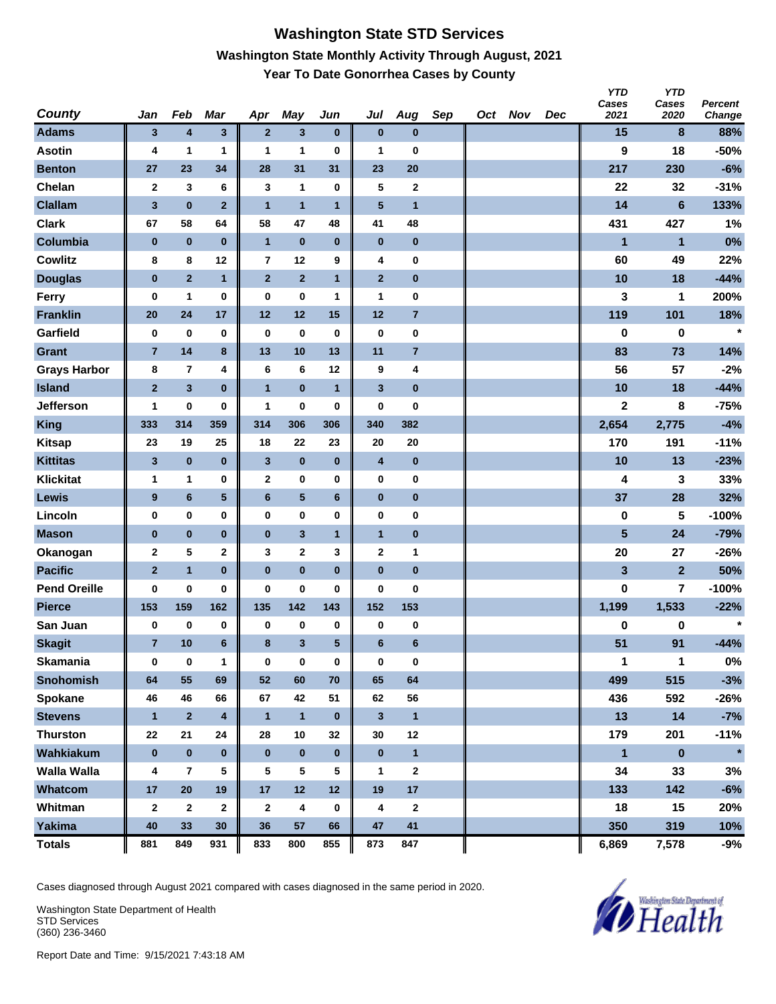### **Washington State STD Services Washington State Monthly Activity Through August, 2021 Year To Date Gonorrhea Cases by County**

| <b>County</b>       | Jan            | Feb            | Mar                     | Apr            | <b>May</b>       | Jun          | Jul             | Aug                     | Sep | Oct Nov | Dec | <b>YTD</b><br>Cases<br>2021 | <b>YTD</b><br>Cases<br>2020 | Percent<br>Change |
|---------------------|----------------|----------------|-------------------------|----------------|------------------|--------------|-----------------|-------------------------|-----|---------|-----|-----------------------------|-----------------------------|-------------------|
| <b>Adams</b>        | 3              | 4              | $\mathbf{3}$            | $\overline{2}$ | $\mathbf{3}$     | $\bf{0}$     | $\bf{0}$        | $\bf{0}$                |     |         |     | 15                          | 8                           | 88%               |
| <b>Asotin</b>       | 4              | 1              | 1                       | 1              | 1                | 0            | 1               | 0                       |     |         |     | 9                           | 18                          | $-50%$            |
| <b>Benton</b>       | 27             | 23             | 34                      | 28             | 31               | 31           | 23              | 20                      |     |         |     | 217                         | 230                         | $-6%$             |
| Chelan              | $\mathbf 2$    | 3              | 6                       | 3              | 1                | $\bf{0}$     | 5               | 2                       |     |         |     | 22                          | 32                          | $-31%$            |
| <b>Clallam</b>      | $\mathbf{3}$   | $\bf{0}$       | $\overline{2}$          | $\overline{1}$ | $\overline{1}$   | $\mathbf{1}$ | 5               | $\overline{1}$          |     |         |     | 14                          | $6\phantom{1}$              | 133%              |
| <b>Clark</b>        | 67             | 58             | 64                      | 58             | 47               | 48           | 41              | 48                      |     |         |     | 431                         | 427                         | 1%                |
| Columbia            | $\bf{0}$       | $\pmb{0}$      | $\bf{0}$                | $\overline{1}$ | $\pmb{0}$        | $\pmb{0}$    | $\bf{0}$        | $\pmb{0}$               |     |         |     | $\mathbf{1}$                | $\mathbf{1}$                | 0%                |
| <b>Cowlitz</b>      | 8              | 8              | 12                      | 7              | 12               | 9            | 4               | 0                       |     |         |     | 60                          | 49                          | 22%               |
| <b>Douglas</b>      | $\bf{0}$       | $\overline{2}$ | $\mathbf{1}$            | $\mathbf{2}$   | $\overline{2}$   | $\mathbf{1}$ | $\mathbf{2}$    | $\pmb{0}$               |     |         |     | 10                          | 18                          | $-44%$            |
| Ferry               | $\bf{0}$       | 1              | 0                       | 0              | $\bf{0}$         | 1            | 1               | 0                       |     |         |     | 3                           | 1                           | 200%              |
| <b>Franklin</b>     | 20             | 24             | 17                      | 12             | 12               | 15           | 12              | $\overline{\mathbf{r}}$ |     |         |     | 119                         | 101                         | 18%               |
| Garfield            | 0              | $\bf{0}$       | $\bf{0}$                | $\bf{0}$       | $\bf{0}$         | 0            | $\bf{0}$        | 0                       |     |         |     | $\bf{0}$                    | 0                           | $\star$           |
| <b>Grant</b>        | $\overline{7}$ | 14             | $\bf8$                  | 13             | 10               | 13           | 11              | $\overline{7}$          |     |         |     | 83                          | 73                          | 14%               |
| <b>Grays Harbor</b> | 8              | $\overline{7}$ | 4                       | 6              | $6\phantom{1}$   | 12           | 9               | 4                       |     |         |     | 56                          | 57                          | $-2%$             |
| <b>Island</b>       | $\mathbf 2$    | $\mathbf{3}$   | $\bf{0}$                | $\mathbf{1}$   | $\bf{0}$         | $\mathbf{1}$ | $\mathbf{3}$    | $\pmb{0}$               |     |         |     | 10                          | 18                          | $-44%$            |
| <b>Jefferson</b>    | 1              | 0              | $\bf{0}$                | 1              | $\bf{0}$         | 0            | 0               | 0                       |     |         |     | $\mathbf 2$                 | 8                           | $-75%$            |
| <b>King</b>         | 333            | 314            | 359                     | 314            | 306              | 306          | 340             | 382                     |     |         |     | 2,654                       | 2,775                       | $-4%$             |
| <b>Kitsap</b>       | 23             | 19             | 25                      | 18             | 22               | 23           | 20              | 20                      |     |         |     | 170                         | 191                         | $-11%$            |
| <b>Kittitas</b>     | $\mathbf{3}$   | $\pmb{0}$      | $\bf{0}$                | $\mathbf{3}$   | $\pmb{0}$        | $\pmb{0}$    | 4               | $\pmb{0}$               |     |         |     | 10                          | 13                          | $-23%$            |
| <b>Klickitat</b>    | 1              | 1              | 0                       | $\mathbf{2}$   | $\bf{0}$         | 0            | 0               | 0                       |     |         |     | 4                           | 3                           | 33%               |
| Lewis               | 9              | 6              | $\sqrt{5}$              | $\bf 6$        | ${\bf 5}$        | $\bf 6$      | $\pmb{0}$       | $\pmb{0}$               |     |         |     | 37                          | 28                          | 32%               |
| Lincoln             | 0              | $\pmb{0}$      | $\bf{0}$                | 0              | $\bf{0}$         | 0            | 0               | 0                       |     |         |     | $\pmb{0}$                   | 5                           | $-100%$           |
| <b>Mason</b>        | $\bf{0}$       | $\pmb{0}$      | $\bf{0}$                | $\pmb{0}$      | $\mathbf{3}$     | $\mathbf{1}$ | $\mathbf{1}$    | $\bf{0}$                |     |         |     | 5                           | 24                          | $-79%$            |
| Okanogan            | $\mathbf 2$    | 5              | 2                       | 3              | $\boldsymbol{2}$ | 3            | $\mathbf 2$     | 1                       |     |         |     | 20                          | 27                          | $-26%$            |
| <b>Pacific</b>      | $\overline{2}$ | $\mathbf{1}$   | $\bf{0}$                | $\bf{0}$       | $\bf{0}$         | $\bf{0}$     | $\bf{0}$        | $\pmb{0}$               |     |         |     | 3                           | $\overline{2}$              | 50%               |
| <b>Pend Oreille</b> | 0              | 0              | $\bf{0}$                | $\bf{0}$       | $\bf{0}$         | 0            | 0               | 0                       |     |         |     | 0                           | 7                           | $-100%$           |
| <b>Pierce</b>       | 153            | 159            | 162                     | 135            | 142              | 143          | 152             | 153                     |     |         |     | 1,199                       | 1,533                       | $-22%$            |
| San Juan            | 0              | $\bf{0}$       | 0                       | 0              | 0                | $\pmb{0}$    | 0               | 0                       |     |         |     | 0                           | 0                           | $\star$           |
| <b>Skagit</b>       | $\overline{7}$ | 10             | 6                       | 8              | 3                | 5            | $6\phantom{1}6$ | 6                       |     |         |     | 51                          | 91                          | $-44%$            |
| <b>Skamania</b>     | 0              | $\bf{0}$       | 1                       | $\bf{0}$       | $\pmb{0}$        | $\pmb{0}$    | 0               | $\pmb{0}$               |     |         |     | 1                           | $\mathbf{1}$                | $0\%$             |
| <b>Snohomish</b>    | 64             | 55             | 69                      | 52             | 60               | 70           | 65              | 64                      |     |         |     | 499                         | 515                         | $-3%$             |
| Spokane             | 46             | 46             | 66                      | 67             | 42               | 51           | 62              | 56                      |     |         |     | 436                         | 592                         | $-26%$            |
| <b>Stevens</b>      | $\mathbf{1}$   | $\mathbf{2}$   | $\overline{\mathbf{4}}$ | $\mathbf{1}$   | $\mathbf{1}$     | $\bf{0}$     | $\mathbf{3}$    | $\mathbf{1}$            |     |         |     | 13                          | $14$                        | $-7%$             |
| <b>Thurston</b>     | 22             | 21             | 24                      | 28             | 10               | 32           | 30              | 12                      |     |         |     | 179                         | 201                         | $-11%$            |
| Wahkiakum           | $\pmb{0}$      | $\pmb{0}$      | $\pmb{0}$               | $\bf{0}$       | $\pmb{0}$        | $\bf{0}$     | $\pmb{0}$       | $\mathbf{1}$            |     |         |     | $\blacksquare$              | $\pmb{0}$                   | $\star$           |
| <b>Walla Walla</b>  | 4              | 7              | 5                       | 5              | 5                | 5            | 1               | 2                       |     |         |     | 34                          | 33                          | 3%                |
| Whatcom             | 17             | 20             | 19                      | 17             | 12               | 12           | 19              | 17                      |     |         |     | 133                         | 142                         | $-6%$             |
| Whitman             | $\mathbf{2}$   | $\mathbf{2}$   | $\mathbf 2$             | $\mathbf{2}$   | 4                | 0            | 4               | 2                       |     |         |     | 18                          | 15                          | 20%               |
| <b>Yakima</b>       | 40             | 33             | 30                      | 36             | 57               | 66           | 47              | 41                      |     |         |     | 350                         | 319                         | 10%               |
| <b>Totals</b>       | 881            | 849            | 931                     | 833            | 800              | 855          | 873             | 847                     |     |         |     | 6,869                       | 7,578                       | -9%               |

Cases diagnosed through August 2021 compared with cases diagnosed in the same period in 2020.

Washington State Department of Health STD Services (360) 236-3460

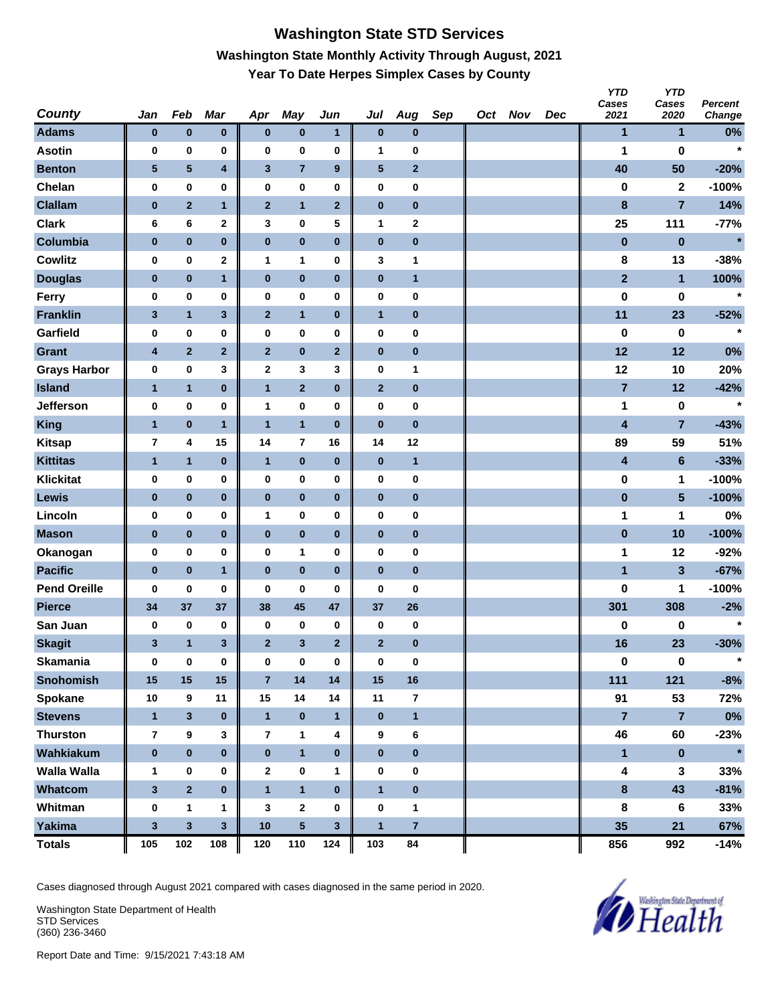# **Washington State STD Services Washington State Monthly Activity Through August, 2021 Year To Date Herpes Simplex Cases by County**

| <b>County</b>       | Jan             | Feb                     | Mar              | Apr                     | May                     | Jun            | Jul            | Aug            | Sep | Oct Nov | Dec | <b>YTD</b><br>Cases<br>2021 | <b>YTD</b><br>Cases<br>2020 | Percent<br>Change |
|---------------------|-----------------|-------------------------|------------------|-------------------------|-------------------------|----------------|----------------|----------------|-----|---------|-----|-----------------------------|-----------------------------|-------------------|
| <b>Adams</b>        | $\bf{0}$        | $\pmb{0}$               | $\pmb{0}$        | $\bf{0}$                | $\pmb{0}$               | $\mathbf{1}$   | $\bf{0}$       | $\bf{0}$       |     |         |     | $\mathbf{1}$                | 1                           | $0\%$             |
| <b>Asotin</b>       | 0               | 0                       | 0                | 0                       | 0                       | 0              | 1              | 0              |     |         |     | 1                           | $\bf{0}$                    | $\star$           |
| <b>Benton</b>       | $5\phantom{.0}$ | $\overline{\mathbf{5}}$ | 4                | $\mathbf{3}$            | $\overline{7}$          | 9              | ${\bf 5}$      | $\overline{2}$ |     |         |     | 40                          | 50                          | $-20%$            |
| Chelan              | 0               | $\pmb{0}$               | 0                | 0                       | 0                       | 0              | $\pmb{0}$      | 0              |     |         |     | 0                           | $\mathbf{2}$                | $-100%$           |
| <b>Clallam</b>      | $\pmb{0}$       | $\overline{2}$          | $\mathbf{1}$     | $\mathbf{2}$            | $\mathbf{1}$            | $\mathbf{2}$   | $\pmb{0}$      | $\bf{0}$       |     |         |     | $\bf8$                      | $\overline{7}$              | 14%               |
| <b>Clark</b>        | 6               | 6                       | $\mathbf{2}$     | 3                       | 0                       | 5              | 1              | 2              |     |         |     | 25                          | 111                         | $-77%$            |
| Columbia            | $\bf{0}$        | $\pmb{0}$               | $\pmb{0}$        | $\pmb{0}$               | $\pmb{0}$               | $\pmb{0}$      | $\pmb{0}$      | $\bf{0}$       |     |         |     | $\pmb{0}$                   | $\mathbf 0$                 | $\star$           |
| <b>Cowlitz</b>      | 0               | $\pmb{0}$               | $\mathbf 2$      | $\mathbf{1}$            | 1                       | 0              | 3              | 1              |     |         |     | 8                           | 13                          | $-38%$            |
| <b>Douglas</b>      | $\bf{0}$        | $\bf{0}$                | $\mathbf{1}$     | $\bf{0}$                | $\pmb{0}$               | $\bf{0}$       | $\bf{0}$       | $\mathbf{1}$   |     |         |     | $\mathbf{2}$                | $\overline{1}$              | 100%              |
| Ferry               | 0               | $\bf{0}$                | 0                | 0                       | 0                       | 0              | $\pmb{0}$      | 0              |     |         |     | $\pmb{0}$                   | 0                           | $\star$           |
| <b>Franklin</b>     | 3               | $\mathbf{1}$            | $\mathbf{3}$     | $\mathbf{2}$            | $\mathbf{1}$            | $\bf{0}$       | $\mathbf{1}$   | $\bf{0}$       |     |         |     | 11                          | 23                          | $-52%$            |
| Garfield            | 0               | 0                       | 0                | 0                       | 0                       | 0              | 0              | 0              |     |         |     | 0                           | 0                           | $\star$           |
| <b>Grant</b>        | 4               | $\overline{2}$          | $\mathbf 2$      | $\overline{2}$          | $\pmb{0}$               | $\mathbf{2}$   | $\pmb{0}$      | $\pmb{0}$      |     |         |     | 12                          | 12                          | 0%                |
| <b>Grays Harbor</b> | 0               | 0                       | 3                | $\mathbf 2$             | 3                       | 3              | $\pmb{0}$      | 1              |     |         |     | 12                          | 10                          | 20%               |
| <b>Island</b>       | $\mathbf{1}$    | $\mathbf{1}$            | $\pmb{0}$        | $\mathbf{1}$            | $\mathbf 2$             | $\bf{0}$       | $\mathbf{2}$   | 0              |     |         |     | $\overline{7}$              | 12                          | $-42%$            |
| <b>Jefferson</b>    | 0               | $\pmb{0}$               | 0                | 1                       | 0                       | 0              | $\pmb{0}$      | 0              |     |         |     | 1                           | $\bf{0}$                    | $\star$           |
| <b>King</b>         | $\mathbf{1}$    | $\pmb{0}$               | $\mathbf{1}$     | $\overline{1}$          | $\mathbf{1}$            | $\pmb{0}$      | $\bf{0}$       | $\pmb{0}$      |     |         |     | $\overline{\mathbf{4}}$     | $\overline{7}$              | $-43%$            |
| <b>Kitsap</b>       | $\overline{7}$  | 4                       | 15               | 14                      | $\overline{7}$          | 16             | 14             | 12             |     |         |     | 89                          | 59                          | 51%               |
| <b>Kittitas</b>     | $\mathbf{1}$    | $\mathbf{1}$            | $\pmb{0}$        | $\mathbf{1}$            | $\pmb{0}$               | $\bf{0}$       | $\bf{0}$       | $\mathbf{1}$   |     |         |     | 4                           | $6\phantom{1}$              | $-33%$            |
| <b>Klickitat</b>    | 0               | 0                       | 0                | 0                       | 0                       | 0              | $\pmb{0}$      | 0              |     |         |     | $\pmb{0}$                   | 1                           | $-100%$           |
| Lewis               | $\pmb{0}$       | $\pmb{0}$               | $\pmb{0}$        | $\bf{0}$                | $\pmb{0}$               | $\bf{0}$       | $\pmb{0}$      | $\bf{0}$       |     |         |     | $\bf{0}$                    | $5\phantom{.0}$             | $-100%$           |
| Lincoln             | 0               | 0                       | 0                | 1                       | 0                       | 0              | 0              | 0              |     |         |     | 1                           | 1                           | 0%                |
| <b>Mason</b>        | $\bf{0}$        | $\pmb{0}$               | $\mathbf 0$      | $\pmb{0}$               | $\pmb{0}$               | $\pmb{0}$      | $\pmb{0}$      | $\pmb{0}$      |     |         |     | $\pmb{0}$                   | 10                          | $-100%$           |
| Okanogan            | 0               | 0                       | 0                | 0                       | 1                       | $\bf{0}$       | $\pmb{0}$      | 0              |     |         |     | 1                           | 12                          | $-92%$            |
| <b>Pacific</b>      | $\pmb{0}$       | $\pmb{0}$               | $\mathbf{1}$     | $\bf{0}$                | $\pmb{0}$               | $\bf{0}$       | $\pmb{0}$      | $\bf{0}$       |     |         |     | $\mathbf{1}$                | $\mathbf{3}$                | $-67%$            |
| <b>Pend Oreille</b> | $\bf{0}$        | $\pmb{0}$               | 0                | $\bf{0}$                | 0                       | $\bf{0}$       | 0              | 0              |     |         |     | 0                           | 1                           | $-100%$           |
| <b>Pierce</b>       | 34              | 37                      | 37               | 38                      | 45                      | 47             | 37             | 26             |     |         |     | 301                         | 308                         | $-2%$             |
| San Juan            | 0               | 0                       | 0                | 0                       | 0                       | 0              | 0              | 0              |     |         |     | 0                           | 0                           |                   |
| <b>Skagit</b>       | 3               | $\mathbf{1}$            | 3                | $\mathbf{2}$            | $\mathbf{3}$            | $\overline{2}$ | $\mathbf{2}$   | $\pmb{0}$      |     |         |     | 16                          | 23                          | $-30%$            |
| <b>Skamania</b>     | $\mathbf 0$     | $\mathbf 0$             | $\pmb{0}$        | $\mathbf 0$             | $\pmb{0}$               | 0              | $\bf{0}$       | 0              |     |         |     | $\pmb{0}$                   | $\pmb{0}$                   | $\star$           |
| <b>Snohomish</b>    | 15              | 15                      | $15\phantom{.0}$ | $\overline{7}$          | 14                      | 14             | 15             | 16             |     |         |     | 111                         | 121                         | $-8%$             |
| Spokane             | 10              | 9                       | 11               | 15                      | 14                      | 14             | 11             | 7              |     |         |     | 91                          | 53                          | 72%               |
| <b>Stevens</b>      | $\mathbf{1}$    | $\mathbf{3}$            | $\pmb{0}$        | $\mathbf{1}$            | $\pmb{0}$               | $\mathbf{1}$   | $\bf{0}$       | $\mathbf{1}$   |     |         |     | $\overline{7}$              | $\overline{7}$              | $0\%$             |
| <b>Thurston</b>     | 7               | 9                       | 3                | $\overline{\mathbf{r}}$ | 1                       | 4              | 9              | 6              |     |         |     | 46                          | 60                          | $-23%$            |
| Wahkiakum           | $\pmb{0}$       | $\pmb{0}$               | $\pmb{0}$        | $\mathbf 0$             | $\mathbf{1}$            | $\bf{0}$       | $\pmb{0}$      | $\mathbf 0$    |     |         |     | $\mathbf{1}$                | $\pmb{0}$                   | $\star$           |
| <b>Walla Walla</b>  | $\mathbf{1}$    | 0                       | 0                | $\mathbf{2}$            | 0                       | 1              | 0              | 0              |     |         |     | 4                           | $\mathbf{3}$                | 33%               |
| Whatcom             | $\mathbf 3$     | $\overline{2}$          | $\pmb{0}$        | $\mathbf{1}$            | $\overline{\mathbf{1}}$ | $\pmb{0}$      | $\mathbf{1}$   | $\bf{0}$       |     |         |     | $\pmb{8}$                   | 43                          | $-81%$            |
| Whitman             | $\pmb{0}$       | 1                       | 1                | 3                       | $\mathbf{2}$            | 0              | $\pmb{0}$      | $\mathbf 1$    |     |         |     | $\bf8$                      | $6\phantom{1}$              | 33%               |
| Yakima              | $\mathbf 3$     | $\overline{\mathbf{3}}$ | $\mathbf{3}$     | 10                      | $5\phantom{.0}$         | $\mathbf{3}$   | $\overline{1}$ | $\overline{7}$ |     |         |     | 35                          | 21                          | 67%               |
| <b>Totals</b>       | 105             | 102                     | 108              | 120                     | 110                     | 124            | 103            | 84             |     |         |     | 856                         | 992                         | $-14%$            |

Cases diagnosed through August 2021 compared with cases diagnosed in the same period in 2020.

Washington State Department of Health STD Services (360) 236-3460

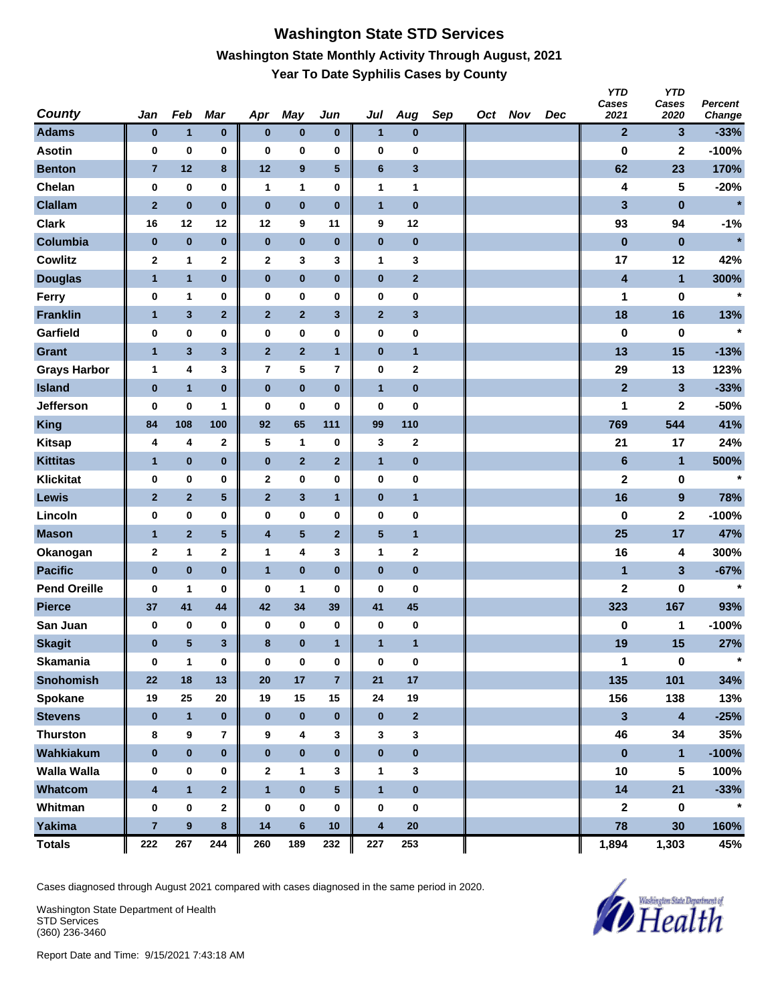#### **Washington State STD Services Washington State Monthly Activity Through August, 2021 Year To Date Syphilis Cases by County**

| <b>County</b>       | Jan                     | Feb              | Mar                     | Apr          | <b>May</b>              | Jun                     | Jul                     | Aug          | Sep | Oct Nov | Dec | <b>YTD</b><br>Cases<br>2021 | <b>YTD</b><br>Cases<br>2020 | Percent<br>Change |
|---------------------|-------------------------|------------------|-------------------------|--------------|-------------------------|-------------------------|-------------------------|--------------|-----|---------|-----|-----------------------------|-----------------------------|-------------------|
| <b>Adams</b>        | $\bf{0}$                | $\mathbf{1}$     | $\pmb{0}$               | $\bf{0}$     | $\pmb{0}$               | $\pmb{0}$               | $\overline{\mathbf{1}}$ | $\pmb{0}$    |     |         |     | $\mathbf{2}$                | 3                           | $-33%$            |
| <b>Asotin</b>       | 0                       | $\pmb{0}$        | 0                       | $\bf{0}$     | $\bf{0}$                | 0                       | 0                       | 0            |     |         |     | $\bf{0}$                    | $\mathbf 2$                 | $-100%$           |
| <b>Benton</b>       | $\overline{7}$          | $12$             | $\bf8$                  | 12           | $\boldsymbol{9}$        | 5                       | $\bf 6$                 | 3            |     |         |     | 62                          | 23                          | 170%              |
| Chelan              | 0                       | $\pmb{0}$        | $\pmb{0}$               | $\mathbf{1}$ | $\mathbf{1}$            | 0                       | 1                       | $\mathbf{1}$ |     |         |     | 4                           | 5                           | $-20%$            |
| <b>Clallam</b>      | $\mathbf 2$             | $\pmb{0}$        | $\bf{0}$                | $\pmb{0}$    | $\pmb{0}$               | $\pmb{0}$               | $\mathbf{1}$            | $\pmb{0}$    |     |         |     | 3                           | $\pmb{0}$                   | $\ast$            |
| <b>Clark</b>        | 16                      | 12               | 12                      | 12           | 9                       | 11                      | 9                       | 12           |     |         |     | 93                          | 94                          | $-1%$             |
| Columbia            | $\pmb{0}$               | $\pmb{0}$        | $\pmb{0}$               | $\pmb{0}$    | $\pmb{0}$               | $\pmb{0}$               | $\pmb{0}$               | $\pmb{0}$    |     |         |     | $\pmb{0}$                   | $\pmb{0}$                   | $\star$           |
| <b>Cowlitz</b>      | $\mathbf 2$             | 1                | $\mathbf 2$             | 2            | 3                       | 3                       | 1                       | 3            |     |         |     | 17                          | 12                          | 42%               |
| <b>Douglas</b>      | 1                       | $\mathbf{1}$     | $\pmb{0}$               | $\mathbf 0$  | $\pmb{0}$               | $\pmb{0}$               | $\pmb{0}$               | $\mathbf{2}$ |     |         |     | 4                           | $\mathbf{1}$                | 300%              |
| Ferry               | 0                       | 1                | 0                       | 0            | $\bf{0}$                | 0                       | 0                       | 0            |     |         |     | 1                           | 0                           | $\star$           |
| <b>Franklin</b>     | $\mathbf{1}$            | 3                | $\mathbf 2$             | $\mathbf{2}$ | $\mathbf 2$             | 3                       | $\mathbf 2$             | 3            |     |         |     | 18                          | 16                          | 13%               |
| Garfield            | 0                       | $\pmb{0}$        | $\bf{0}$                | 0            | $\pmb{0}$               | 0                       | 0                       | 0            |     |         |     | $\bf{0}$                    | $\bf{0}$                    | $\star$           |
| <b>Grant</b>        | $\mathbf{1}$            | 3                | $\mathbf{3}$            | $\mathbf{2}$ | $\mathbf 2$             | $\mathbf{1}$            | $\pmb{0}$               | $\mathbf{1}$ |     |         |     | 13                          | 15                          | $-13%$            |
| <b>Grays Harbor</b> | $\mathbf{1}$            | 4                | 3                       | 7            | ${\bf 5}$               | $\overline{\mathbf{r}}$ | $\pmb{0}$               | $\mathbf 2$  |     |         |     | 29                          | 13                          | 123%              |
| <b>Island</b>       | $\pmb{0}$               | $\mathbf{1}$     | $\bf{0}$                | $\pmb{0}$    | $\mathbf 0$             | $\pmb{0}$               | $\mathbf{1}$            | $\pmb{0}$    |     |         |     | $\overline{2}$              | 3                           | $-33%$            |
| Jefferson           | 0                       | 0                | 1                       | 0            | 0                       | 0                       | 0                       | 0            |     |         |     | 1                           | 2                           | $-50%$            |
| <b>King</b>         | 84                      | 108              | 100                     | 92           | 65                      | 111                     | 99                      | 110          |     |         |     | 769                         | 544                         | 41%               |
| <b>Kitsap</b>       | 4                       | 4                | $\mathbf 2$             | 5            | $\mathbf{1}$            | 0                       | 3                       | 2            |     |         |     | 21                          | 17                          | 24%               |
| <b>Kittitas</b>     | 1                       | $\pmb{0}$        | $\pmb{0}$               | $\pmb{0}$    | $\mathbf 2$             | $\mathbf{2}$            | $\mathbf{1}$            | $\pmb{0}$    |     |         |     | $\bf 6$                     | 1                           | 500%              |
| <b>Klickitat</b>    | 0                       | $\pmb{0}$        | 0                       | 2            | $\bf{0}$                | 0                       | $\pmb{0}$               | 0            |     |         |     | $\mathbf 2$                 | $\pmb{0}$                   | $\star$           |
| Lewis               | $\mathbf{2}$            | $\mathbf 2$      | $\overline{\mathbf{5}}$ | $\mathbf{2}$ | $\mathbf{3}$            | $\mathbf{1}$            | $\pmb{0}$               | $\mathbf{1}$ |     |         |     | 16                          | $\boldsymbol{9}$            | 78%               |
| Lincoln             | 0                       | $\pmb{0}$        | $\bf{0}$                | 0            | $\pmb{0}$               | 0                       | 0                       | 0            |     |         |     | 0                           | $\mathbf 2$                 | $-100%$           |
| <b>Mason</b>        | $\mathbf{1}$            | $\mathbf 2$      | $\sqrt{5}$              | 4            | $\overline{\mathbf{5}}$ | $\mathbf{2}$            | $\sqrt{5}$              | $\mathbf{1}$ |     |         |     | 25                          | 17                          | 47%               |
| Okanogan            | $\mathbf 2$             | 1                | $\mathbf 2$             | 1            | 4                       | 3                       | 1                       | 2            |     |         |     | 16                          | 4                           | 300%              |
| <b>Pacific</b>      | $\pmb{0}$               | $\pmb{0}$        | $\bf{0}$                | $\mathbf{1}$ | $\bf{0}$                | $\bf{0}$                | $\pmb{0}$               | $\pmb{0}$    |     |         |     | 1                           | $\mathbf{3}$                | $-67%$            |
| <b>Pend Oreille</b> | 0                       | 1                | 0                       | 0            | 1                       | 0                       | 0                       | 0            |     |         |     | $\mathbf 2$                 | 0                           | $\star$           |
| <b>Pierce</b>       | 37                      | 41               | 44                      | 42           | 34                      | 39                      | 41                      | 45           |     |         |     | 323                         | 167                         | 93%               |
| San Juan            | 0                       | 0                | 0                       | 0            | 0                       | $\pmb{0}$               | 0                       | 0            |     |         |     | 0                           | 1                           | $-100%$           |
| <b>Skagit</b>       | $\pmb{0}$               | 5                | 3                       | 8            | $\pmb{0}$               | $\mathbf{1}$            | $\mathbf{1}$            | 1            |     |         |     | 19                          | 15                          | 27%               |
| <b>Skamania</b>     | 0                       | $\mathbf{1}$     | $\pmb{0}$               | $\bf{0}$     | $\pmb{0}$               | 0                       | $\mathbf 0$             | $\pmb{0}$    |     |         |     | 1                           | $\pmb{0}$                   | $\star$           |
| <b>Snohomish</b>    | 22                      | 18               | 13                      | 20           | 17                      | $\overline{7}$          | 21                      | 17           |     |         |     | 135                         | 101                         | 34%               |
| Spokane             | 19                      | 25               | 20                      | 19           | 15                      | 15                      | 24                      | 19           |     |         |     | 156                         | 138                         | 13%               |
| <b>Stevens</b>      | $\bf{0}$                | $\mathbf{1}$     | $\pmb{0}$               | $\bf{0}$     | $\pmb{0}$               | $\pmb{0}$               | $\pmb{0}$               | $\mathbf{2}$ |     |         |     | $\mathbf{3}$                | $\overline{\mathbf{4}}$     | $-25%$            |
| <b>Thurston</b>     | 8                       | $\pmb{9}$        | $\overline{7}$          | 9            | 4                       | 3                       | 3                       | 3            |     |         |     | 46                          | 34                          | 35%               |
| Wahkiakum           | $\pmb{0}$               | $\pmb{0}$        | $\pmb{0}$               | $\pmb{0}$    | $\pmb{0}$               | $\bf{0}$                | $\pmb{0}$               | $\mathbf 0$  |     |         |     | $\pmb{0}$                   | $\mathbf{1}$                | $-100%$           |
| <b>Walla Walla</b>  | 0                       | 0                | 0                       | $\mathbf{2}$ | $\mathbf{1}$            | 3                       | 1                       | 3            |     |         |     | 10                          | 5                           | 100%              |
| Whatcom             | $\overline{\mathbf{4}}$ | $\mathbf{1}$     | $\overline{\mathbf{2}}$ | $\mathbf{1}$ | $\pmb{0}$               | $\overline{\mathbf{5}}$ | $\mathbf{1}$            | $\pmb{0}$    |     |         |     | 14                          | 21                          | $-33%$            |
| Whitman             | 0                       | $\pmb{0}$        | $\mathbf{2}$            | $\bf{0}$     | $\pmb{0}$               | $\pmb{0}$               | $\bf{0}$                | $\pmb{0}$    |     |         |     | $\mathbf 2$                 | $\pmb{0}$                   | $\star$           |
| <b>Yakima</b>       | $\overline{7}$          | $\boldsymbol{9}$ | $\bf{8}$                | 14           | $\bf 6$                 | 10                      | $\overline{\mathbf{4}}$ | 20           |     |         |     | 78                          | 30                          | 160%              |
| <b>Totals</b>       | 222                     | 267              | 244                     | 260          | 189                     | 232                     | 227                     | 253          |     |         |     | 1,894                       | 1,303                       | 45%               |

Cases diagnosed through August 2021 compared with cases diagnosed in the same period in 2020.

Washington State Department of Health STD Services (360) 236-3460

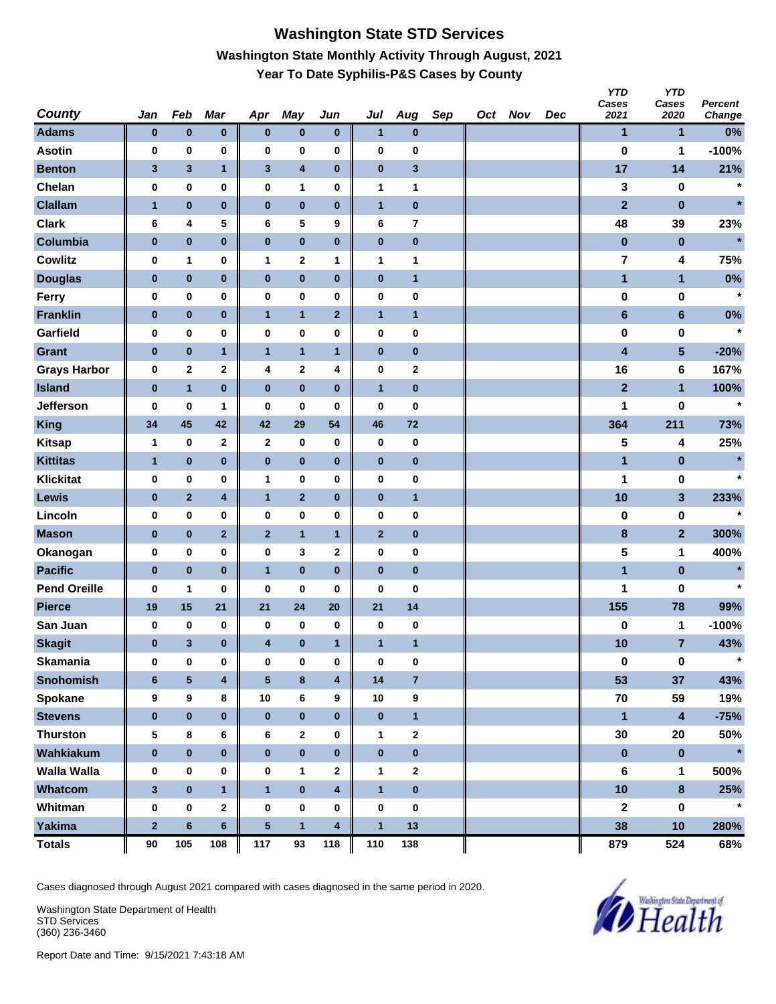# **Washington State STD Services Washington State Monthly Activity Through August, 2021 Year To Date Syphilis-P&S Cases by County**

| <b>County</b>       | Jan            | Feb                     | Mar                     | Apr          | <b>May</b>              | Jun          | Jul          | Aug                     | Sep | Oct Nov | Dec | <b>YTD</b><br>Cases<br>2021 | <b>YTD</b><br>Cases<br>2020 | Percent<br>Change |
|---------------------|----------------|-------------------------|-------------------------|--------------|-------------------------|--------------|--------------|-------------------------|-----|---------|-----|-----------------------------|-----------------------------|-------------------|
| <b>Adams</b>        | $\bf{0}$       | $\pmb{0}$               | $\pmb{0}$               | $\bf{0}$     | $\pmb{0}$               | $\bf{0}$     | $\mathbf{1}$ | $\pmb{0}$               |     |         |     | $\mathbf{1}$                | 1                           | 0%                |
| <b>Asotin</b>       | 0              | 0                       | 0                       | $\bf{0}$     | 0                       | $\pmb{0}$    | 0            | 0                       |     |         |     | $\bf{0}$                    | 1                           | $-100%$           |
| <b>Benton</b>       | 3              | $\mathbf{3}$            | $\mathbf{1}$            | $\mathbf{3}$ | $\overline{\mathbf{4}}$ | $\bf{0}$     | $\pmb{0}$    | 3                       |     |         |     | 17                          | 14                          | 21%               |
| Chelan              | 0              | $\pmb{0}$               | 0                       | $\bf{0}$     | 1                       | 0            | $\mathbf{1}$ | 1                       |     |         |     | 3                           | 0                           | $\star$           |
| <b>Clallam</b>      | $\mathbf{1}$   | $\pmb{0}$               | $\pmb{0}$               | $\pmb{0}$    | $\pmb{0}$               | $\bf{0}$     | $\mathbf{1}$ | $\pmb{0}$               |     |         |     | $\overline{2}$              | $\pmb{0}$                   | $\star$           |
| <b>Clark</b>        | 6              | 4                       | 5                       | 6            | 5                       | 9            | 6            | $\overline{\mathbf{r}}$ |     |         |     | 48                          | 39                          | 23%               |
| Columbia            | $\pmb{0}$      | $\pmb{0}$               | $\pmb{0}$               | $\pmb{0}$    | $\pmb{0}$               | $\pmb{0}$    | $\pmb{0}$    | 0                       |     |         |     | $\pmb{0}$                   | $\pmb{0}$                   | $\star$           |
| <b>Cowlitz</b>      | 0              | 1                       | 0                       | $\mathbf{1}$ | $\mathbf 2$             | 1            | 1            | 1                       |     |         |     | 7                           | 4                           | 75%               |
| <b>Douglas</b>      | $\bf{0}$       | $\pmb{0}$               | $\pmb{0}$               | $\bf{0}$     | $\pmb{0}$               | $\pmb{0}$    | $\pmb{0}$    | $\mathbf{1}$            |     |         |     | $\mathbf{1}$                | $\mathbf{1}$                | 0%                |
| Ferry               | $\mathbf 0$    | $\pmb{0}$               | 0                       | $\bf{0}$     | 0                       | 0            | $\pmb{0}$    | 0                       |     |         |     | 0                           | 0                           | $\star$           |
| <b>Franklin</b>     | $\pmb{0}$      | $\pmb{0}$               | $\pmb{0}$               | $\mathbf{1}$ | $\mathbf{1}$            | $\mathbf{2}$ | $\mathbf{1}$ | $\mathbf{1}$            |     |         |     | $6\phantom{1}$              | $6\phantom{1}$              | $0\%$             |
| Garfield            | 0              | $\pmb{0}$               | 0                       | $\bf{0}$     | 0                       | 0            | 0            | 0                       |     |         |     | 0                           | 0                           | $\star$           |
| <b>Grant</b>        | $\pmb{0}$      | $\pmb{0}$               | $\mathbf{1}$            | $\mathbf{1}$ | $\mathbf{1}$            | $\mathbf{1}$ | $\pmb{0}$    | 0                       |     |         |     | $\overline{\mathbf{4}}$     | 5                           | $-20%$            |
| <b>Grays Harbor</b> | 0              | $\mathbf 2$             | $\mathbf 2$             | 4            | $\bf{2}$                | 4            | $\pmb{0}$    | 2                       |     |         |     | 16                          | 6                           | 167%              |
| <b>Island</b>       | $\pmb{0}$      | $\mathbf{1}$            | $\bf{0}$                | $\pmb{0}$    | $\pmb{0}$               | $\bf{0}$     | $\mathbf{1}$ | $\pmb{0}$               |     |         |     | $\overline{2}$              | $\mathbf{1}$                | 100%              |
| <b>Jefferson</b>    | 0              | 0                       | 1                       | 0            | 0                       | 0            | 0            | 0                       |     |         |     | 1                           | 0                           | $\star$           |
| <b>King</b>         | 34             | 45                      | 42                      | 42           | 29                      | 54           | 46           | 72                      |     |         |     | 364                         | 211                         | 73%               |
| <b>Kitsap</b>       | $\mathbf{1}$   | $\bf{0}$                | $\mathbf 2$             | $\mathbf{2}$ | $\pmb{0}$               | 0            | $\pmb{0}$    | $\pmb{0}$               |     |         |     | 5                           | 4                           | 25%               |
| <b>Kittitas</b>     | $\mathbf{1}$   | $\pmb{0}$               | $\pmb{0}$               | $\pmb{0}$    | $\pmb{0}$               | $\bf{0}$     | $\pmb{0}$    | 0                       |     |         |     | $\mathbf{1}$                | $\bf{0}$                    | $\star$           |
| <b>Klickitat</b>    | 0              | $\pmb{0}$               | 0                       | $\mathbf{1}$ | 0                       | 0            | 0            | 0                       |     |         |     | 1                           | 0                           | $\star$           |
| Lewis               | $\bf{0}$       | $\mathbf{2}$            | 4                       | $\mathbf{1}$ | $\mathbf{2}$            | $\pmb{0}$    | $\pmb{0}$    | $\mathbf{1}$            |     |         |     | 10                          | $\overline{\mathbf{3}}$     | 233%              |
| Lincoln             | 0              | $\pmb{0}$               | 0                       | $\bf{0}$     | 0                       | 0            | 0            | 0                       |     |         |     | $\bf{0}$                    | 0                           | $\star$           |
| <b>Mason</b>        | $\pmb{0}$      | $\pmb{0}$               | $\mathbf{2}$            | $\mathbf{2}$ | $\mathbf{1}$            | $\mathbf{1}$ | $\mathbf{2}$ | 0                       |     |         |     | $\bf8$                      | $\overline{2}$              | 300%              |
| Okanogan            | 0              | $\pmb{0}$               | 0                       | $\bf{0}$     | 3                       | 2            | $\pmb{0}$    | 0                       |     |         |     | 5                           | 1                           | 400%              |
| <b>Pacific</b>      | $\pmb{0}$      | $\bf{0}$                | $\bf{0}$                | $\mathbf{1}$ | $\pmb{0}$               | $\bf{0}$     | $\pmb{0}$    | $\pmb{0}$               |     |         |     | $\blacksquare$              | $\pmb{0}$                   | $\star$           |
| <b>Pend Oreille</b> | 0              | 1                       | 0                       | 0            | 0                       | 0            | 0            | 0                       |     |         |     | 1                           | 0                           | $\star$           |
| <b>Pierce</b>       | 19             | 15                      | 21                      | 21           | 24                      | 20           | 21           | 14                      |     |         |     | 155                         | 78                          | 99%               |
| San Juan            | 0              | 0                       | 0                       | 0            | 0                       | 0            | 0            | 0                       |     |         |     | 0                           | 1                           | $-100%$           |
| <b>Skagit</b>       | 0              | $\mathbf{3}$            | $\bf{0}$                | 4            | $\pmb{0}$               | $\mathbf{1}$ | $\mathbf{1}$ | $\mathbf{1}$            |     |         |     | 10                          | $\overline{7}$              | 43%               |
| <b>Skamania</b>     | $\bf{0}$       | $\mathbf 0$             | 0                       | $\bf{0}$     | $\pmb{0}$               | $\pmb{0}$    | $\pmb{0}$    | $\pmb{0}$               |     |         |     | 0                           | $\mathbf 0$                 | $\star$           |
| <b>Snohomish</b>    | $6\phantom{1}$ | $\overline{\mathbf{5}}$ | $\overline{\mathbf{4}}$ | ${\bf 5}$    | $\bf8$                  | 4            | 14           | $\overline{7}$          |     |         |     | 53                          | 37                          | 43%               |
| Spokane             | 9              | 9                       | 8                       | 10           | 6                       | 9            | 10           | 9                       |     |         |     | 70                          | 59                          | 19%               |
| <b>Stevens</b>      | $\bf{0}$       | $\pmb{0}$               | $\bf{0}$                | $\pmb{0}$    | $\pmb{0}$               | $\bf{0}$     | $\pmb{0}$    | $\mathbf{1}$            |     |         |     | $\mathbf{1}$                | $\overline{\mathbf{4}}$     | $-75%$            |
| <b>Thurston</b>     | 5              | $\bf 8$                 | 6                       | 6            | $\mathbf{2}$            | 0            | $\mathbf{1}$ | 2                       |     |         |     | 30                          | 20                          | 50%               |
| Wahkiakum           | $\pmb{0}$      | $\pmb{0}$               | $\pmb{0}$               | $\pmb{0}$    | $\pmb{0}$               | $\pmb{0}$    | $\pmb{0}$    | $\pmb{0}$               |     |         |     | $\pmb{0}$                   | $\pmb{0}$                   | $\star$           |
| <b>Walla Walla</b>  | 0              | 0                       | 0                       | 0            | 1                       | 2            | 1            | 2                       |     |         |     | 6                           | 1                           | 500%              |
| Whatcom             | $\mathbf{3}$   | $\pmb{0}$               | $\mathbf{1}$            | $\mathbf{1}$ | $\pmb{0}$               | 4            | $\mathbf{1}$ | $\pmb{0}$               |     |         |     | 10                          | $\bf{8}$                    | 25%               |
| Whitman             | 0              | $\pmb{0}$               | $\mathbf 2$             | $\bf{0}$     | $\pmb{0}$               | 0            | $\pmb{0}$    | 0                       |     |         |     | $\mathbf 2$                 | $\pmb{0}$                   | $\star$           |
| <b>Yakima</b>       | $\bf{2}$       | $\bf 6$                 | $\bf 6$                 | ${\bf 5}$    | $\mathbf{1}$            | 4            | $\mathbf{1}$ | 13                      |     |         |     | 38                          | 10                          | 280%              |
| <b>Totals</b>       | 90             | 105                     | 108                     | 117          | 93                      | 118          | 110          | 138                     |     |         |     | 879                         | 524                         | 68%               |

Cases diagnosed through August 2021 compared with cases diagnosed in the same period in 2020.

Washington State Department of Health STD Services (360) 236-3460

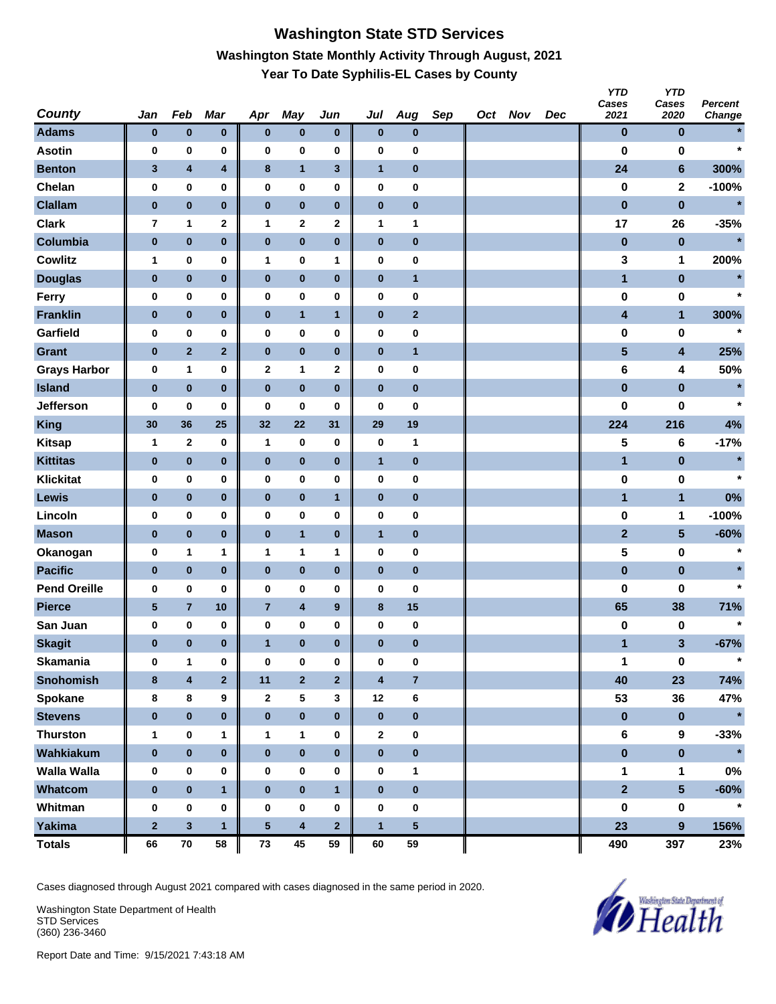# **Washington State STD Services Washington State Monthly Activity Through August, 2021 Year To Date Syphilis-EL Cases by County**

| <b>County</b>       | Jan          | Feb                     | Mar                     | Apr            | <b>May</b>              | Jun                     | Jul                     | Aug            | Sep | Oct Nov | Dec | <b>YTD</b><br>Cases<br>2021 | <b>YTD</b><br>Cases<br>2020 | <b>Percent</b><br>Change |
|---------------------|--------------|-------------------------|-------------------------|----------------|-------------------------|-------------------------|-------------------------|----------------|-----|---------|-----|-----------------------------|-----------------------------|--------------------------|
| <b>Adams</b>        | $\bf{0}$     | $\pmb{0}$               | $\pmb{0}$               | $\bf{0}$       | $\pmb{0}$               | $\bf{0}$                | $\pmb{0}$               | 0              |     |         |     | $\bf{0}$                    | $\bf{0}$                    | $\star$                  |
| <b>Asotin</b>       | 0            | 0                       | 0                       | $\bf{0}$       | 0                       | $\pmb{0}$               | 0                       | 0              |     |         |     | $\bf{0}$                    | 0                           | $\star$                  |
| <b>Benton</b>       | 3            | $\overline{\mathbf{4}}$ | $\overline{\mathbf{4}}$ | $\bf8$         | $\mathbf{1}$            | 3                       | $\mathbf{1}$            | 0              |     |         |     | 24                          | $6\phantom{1}$              | 300%                     |
| Chelan              | 0            | $\pmb{0}$               | 0                       | $\bf{0}$       | $\pmb{0}$               | 0                       | $\pmb{0}$               | 0              |     |         |     | 0                           | $\mathbf{2}$                | $-100%$                  |
| <b>Clallam</b>      | $\pmb{0}$    | $\pmb{0}$               | $\bf{0}$                | $\pmb{0}$      | $\pmb{0}$               | $\bf{0}$                | $\pmb{0}$               | $\pmb{0}$      |     |         |     | $\pmb{0}$                   | $\pmb{0}$                   | $\star$                  |
| <b>Clark</b>        | 7            | 1                       | $\mathbf 2$             | 1              | $\mathbf 2$             | 2                       | 1                       | 1              |     |         |     | 17                          | 26                          | $-35%$                   |
| Columbia            | $\pmb{0}$    | $\pmb{0}$               | $\pmb{0}$               | $\pmb{0}$      | $\pmb{0}$               | $\pmb{0}$               | $\pmb{0}$               | $\pmb{0}$      |     |         |     | $\pmb{0}$                   | $\pmb{0}$                   | $\star$                  |
| <b>Cowlitz</b>      | $\mathbf{1}$ | 0                       | 0                       | 1              | 0                       | 1                       | $\pmb{0}$               | 0              |     |         |     | 3                           | 1                           | 200%                     |
| <b>Douglas</b>      | $\bf{0}$     | $\bf{0}$                | $\pmb{0}$               | $\bf{0}$       | $\pmb{0}$               | $\bf{0}$                | $\pmb{0}$               | $\mathbf{1}$   |     |         |     | $\mathbf{1}$                | $\pmb{0}$                   |                          |
| Ferry               | $\mathbf 0$  | $\pmb{0}$               | 0                       | $\bf{0}$       | 0                       | 0                       | $\pmb{0}$               | 0              |     |         |     | 0                           | 0                           | $\star$                  |
| <b>Franklin</b>     | $\pmb{0}$    | $\pmb{0}$               | $\pmb{0}$               | $\bf{0}$       | $\mathbf{1}$            | $\mathbf{1}$            | $\pmb{0}$               | 2              |     |         |     | 4                           | $\mathbf{1}$                | 300%                     |
| Garfield            | 0            | $\pmb{0}$               | 0                       | $\bf{0}$       | 0                       | $\pmb{0}$               | 0                       | 0              |     |         |     | $\bf{0}$                    | 0                           | $\star$                  |
| <b>Grant</b>        | $\pmb{0}$    | $\mathbf 2$             | $\mathbf{2}$            | $\pmb{0}$      | $\pmb{0}$               | $\bf{0}$                | $\pmb{0}$               | $\mathbf{1}$   |     |         |     | $\overline{\mathbf{5}}$     | $\overline{\mathbf{4}}$     | 25%                      |
| <b>Grays Harbor</b> | 0            | 1                       | 0                       | $\mathbf{2}$   | 1                       | 2                       | 0                       | 0              |     |         |     | 6                           | 4                           | 50%                      |
| <b>Island</b>       | $\pmb{0}$    | $\pmb{0}$               | $\bf{0}$                | $\pmb{0}$      | $\pmb{0}$               | $\bf{0}$                | $\pmb{0}$               | $\pmb{0}$      |     |         |     | $\pmb{0}$                   | $\pmb{0}$                   | $\star$                  |
| <b>Jefferson</b>    | 0            | 0                       | 0                       | 0              | 0                       | 0                       | 0                       | 0              |     |         |     | $\bf{0}$                    | 0                           | $\star$                  |
| <b>King</b>         | 30           | 36                      | 25                      | 32             | 22                      | 31                      | 29                      | 19             |     |         |     | 224                         | 216                         | 4%                       |
| <b>Kitsap</b>       | $\mathbf{1}$ | $\mathbf{2}$            | 0                       | $\mathbf{1}$   | $\pmb{0}$               | 0                       | $\pmb{0}$               | 1              |     |         |     | 5                           | 6                           | $-17%$                   |
| <b>Kittitas</b>     | $\bf{0}$     | $\pmb{0}$               | $\pmb{0}$               | $\pmb{0}$      | $\pmb{0}$               | $\bf{0}$                | $\mathbf{1}$            | 0              |     |         |     | $\mathbf{1}$                | $\pmb{0}$                   | $\star$                  |
| <b>Klickitat</b>    | 0            | $\pmb{0}$               | 0                       | $\bf{0}$       | 0                       | 0                       | $\pmb{0}$               | 0              |     |         |     | 0                           | 0                           | $\star$                  |
| <b>Lewis</b>        | $\bf{0}$     | $\pmb{0}$               | $\pmb{0}$               | $\bf{0}$       | $\pmb{0}$               | $\mathbf{1}$            | $\pmb{0}$               | 0              |     |         |     | $\mathbf{1}$                | $\mathbf{1}$                | 0%                       |
| Lincoln             | 0            | $\pmb{0}$               | 0                       | $\bf{0}$       | 0                       | $\pmb{0}$               | 0                       | 0              |     |         |     | 0                           | 1                           | $-100%$                  |
| <b>Mason</b>        | $\pmb{0}$    | $\pmb{0}$               | $\pmb{0}$               | $\bf{0}$       | $\mathbf{1}$            | $\bf{0}$                | $\mathbf{1}$            | 0              |     |         |     | $\mathbf{2}$                | $\sqrt{5}$                  | $-60%$                   |
| Okanogan            | 0            | 1                       | 1                       | 1              | 1                       | 1                       | 0                       | 0              |     |         |     | 5                           | 0                           | $\star$                  |
| <b>Pacific</b>      | $\pmb{0}$    | $\pmb{0}$               | $\bf{0}$                | $\pmb{0}$      | $\pmb{0}$               | $\bf{0}$                | $\pmb{0}$               | $\pmb{0}$      |     |         |     | $\pmb{0}$                   | $\pmb{0}$                   | $\star$                  |
| <b>Pend Oreille</b> | 0            | 0                       | 0                       | 0              | 0                       | 0                       | 0                       | 0              |     |         |     | 0                           | 0                           | $\star$                  |
| <b>Pierce</b>       | $\sqrt{5}$   | $\bf 7$                 | 10                      | $\overline{7}$ | $\pmb{4}$               | $\boldsymbol{9}$        | $\bf8$                  | 15             |     |         |     | 65                          | 38                          | 71%                      |
| San Juan            | 0            | $\bf{0}$                | 0                       | 0              | $\pmb{0}$               | 0                       | $\pmb{0}$               | 0              |     |         |     | 0                           | 0                           | $\star$                  |
| <b>Skagit</b>       | 0            | $\bf{0}$                | $\bf{0}$                | $\mathbf{1}$   | $\bf{0}$                | $\bf{0}$                | $\bf{0}$                | 0              |     |         |     | 1                           | 3                           | $-67%$                   |
| <b>Skamania</b>     | $\bf{0}$     | $\mathbf{1}$            | 0                       | $\mathbf 0$    | $\pmb{0}$               | $\pmb{0}$               | $\pmb{0}$               | 0              |     |         |     | 1                           | $\mathbf 0$                 | $\star$                  |
| <b>Snohomish</b>    | 8            | $\overline{\mathbf{4}}$ | $\overline{\mathbf{2}}$ | 11             | $\overline{\mathbf{2}}$ | $\overline{\mathbf{2}}$ | $\overline{\mathbf{4}}$ | $\overline{7}$ |     |         |     | 40                          | 23                          | 74%                      |
| Spokane             | 8            | 8                       | 9                       | $\mathbf{2}$   | $\sqrt{5}$              | 3                       | 12                      | 6              |     |         |     | 53                          | 36                          | 47%                      |
| <b>Stevens</b>      | $\bf{0}$     | $\pmb{0}$               | $\pmb{0}$               | $\bf{0}$       | $\pmb{0}$               | $\bf{0}$                | $\pmb{0}$               | $\pmb{0}$      |     |         |     | $\pmb{0}$                   | $\pmb{0}$                   | $\star$                  |
| <b>Thurston</b>     | $\mathbf{1}$ | $\pmb{0}$               | 1                       | $\mathbf{1}$   | 1                       | 0                       | $\boldsymbol{2}$        | $\pmb{0}$      |     |         |     | $\bf 6$                     | 9                           | $-33%$                   |
| Wahkiakum           | $\pmb{0}$    | $\pmb{0}$               | $\pmb{0}$               | $\pmb{0}$      | $\pmb{0}$               | $\pmb{0}$               | $\pmb{0}$               | $\pmb{0}$      |     |         |     | $\pmb{0}$                   | $\pmb{0}$                   | $\star$                  |
| <b>Walla Walla</b>  | 0            | 0                       | 0                       | 0              | 0                       | 0                       | $\pmb{0}$               | 1              |     |         |     | 1                           | 1                           | $0\%$                    |
| Whatcom             | $\pmb{0}$    | $\pmb{0}$               | $\mathbf{1}$            | $\bf{0}$       | $\pmb{0}$               | $\mathbf{1}$            | $\pmb{0}$               | $\pmb{0}$      |     |         |     | $\overline{2}$              | $5\overline{)}$             | $-60%$                   |
| Whitman             | 0            | $\pmb{0}$               | 0                       | $\bf{0}$       | 0                       | 0                       | $\pmb{0}$               | 0              |     |         |     | 0                           | $\pmb{0}$                   | $\star$                  |
| <b>Yakima</b>       | $\bf{2}$     | $\mathbf{3}$            | $\mathbf{1}$            | ${\bf 5}$      | $\overline{\mathbf{4}}$ | $\overline{2}$          | $\mathbf{1}$            | 5              |     |         |     | 23                          | 9                           | 156%                     |
| <b>Totals</b>       | 66           | ${\bf 70}$              | 58                      | ${\bf 73}$     | 45                      | 59                      | 60                      | 59             |     |         |     | 490                         | 397                         | 23%                      |

Cases diagnosed through August 2021 compared with cases diagnosed in the same period in 2020.

Washington State Department of Health STD Services (360) 236-3460

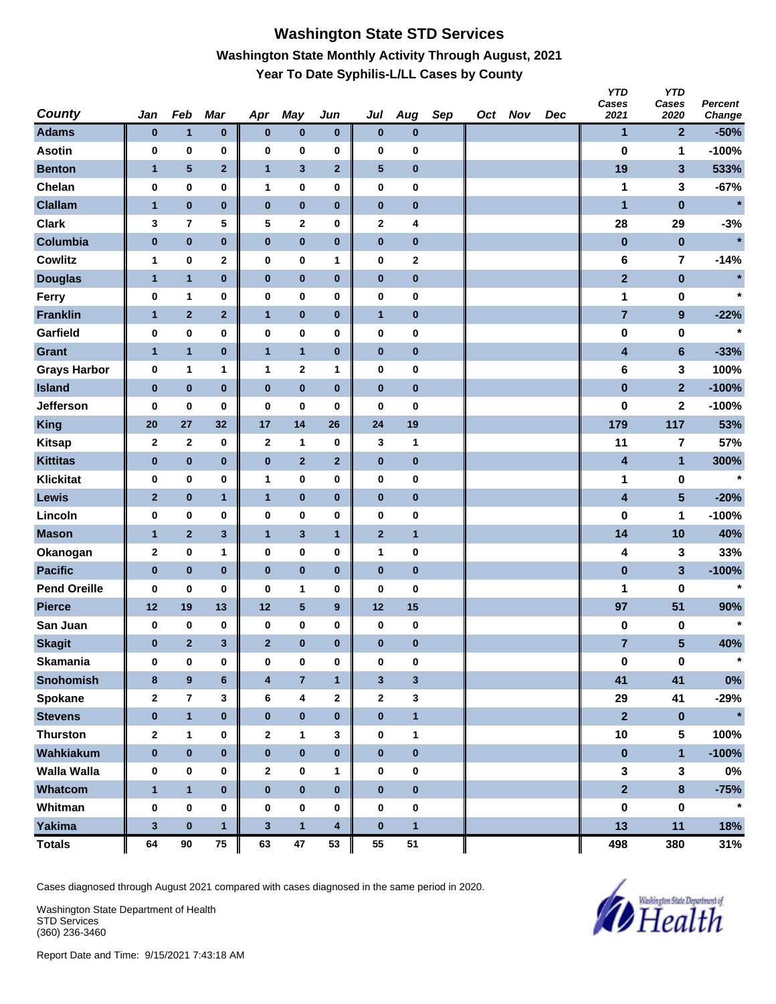## **Washington State STD Services Washington State Monthly Activity Through August, 2021 Year To Date Syphilis-L/LL Cases by County**

| <b>County</b>       | Jan          | Feb                     | Mar                     | Apr                     | May            | Jun              | Jul          | Aug          | Sep | Oct Nov | Dec | <b>YTD</b><br>Cases<br>2021 | <b>YTD</b><br>Cases<br>2020 | Percent<br>Change |
|---------------------|--------------|-------------------------|-------------------------|-------------------------|----------------|------------------|--------------|--------------|-----|---------|-----|-----------------------------|-----------------------------|-------------------|
| <b>Adams</b>        | $\bf{0}$     | $\mathbf{1}$            | $\pmb{0}$               | $\bf{0}$                | $\pmb{0}$      | $\bf{0}$         | $\pmb{0}$    | $\bf{0}$     |     |         |     | $\mathbf{1}$                | $\mathbf{2}$                | $-50%$            |
| <b>Asotin</b>       | 0            | $\pmb{0}$               | 0                       | 0                       | 0              | 0                | 0            | 0            |     |         |     | $\bf{0}$                    | 1                           | $-100%$           |
| <b>Benton</b>       | $\mathbf{1}$ | 5                       | $\overline{\mathbf{2}}$ | $\mathbf{1}$            | $\mathbf{3}$   | $\mathbf{2}$     | $\sqrt{5}$   | 0            |     |         |     | 19                          | $\mathbf{3}$                | 533%              |
| Chelan              | 0            | $\pmb{0}$               | $\pmb{0}$               | $\mathbf{1}$            | 0              | 0                | $\pmb{0}$    | 0            |     |         |     | 1                           | 3                           | $-67%$            |
| <b>Clallam</b>      | $\mathbf{1}$ | $\pmb{0}$               | $\pmb{0}$               | $\pmb{0}$               | $\pmb{0}$      | $\pmb{0}$        | $\pmb{0}$    | $\pmb{0}$    |     |         |     | 1                           | $\pmb{0}$                   | $\star$           |
| <b>Clark</b>        | 3            | $\overline{\mathbf{r}}$ | 5                       | 5                       | 2              | 0                | 2            | 4            |     |         |     | 28                          | 29                          | $-3%$             |
| Columbia            | $\pmb{0}$    | $\pmb{0}$               | $\pmb{0}$               | $\pmb{0}$               | $\pmb{0}$      | $\pmb{0}$        | $\pmb{0}$    | $\pmb{0}$    |     |         |     | $\bf{0}$                    | $\bf{0}$                    | $\star$           |
| <b>Cowlitz</b>      | 1            | $\pmb{0}$               | 2                       | 0                       | 0              | 1                | $\pmb{0}$    | 2            |     |         |     | 6                           | 7                           | $-14%$            |
| <b>Douglas</b>      | 1            | $\mathbf{1}$            | $\pmb{0}$               | $\pmb{0}$               | $\pmb{0}$      | $\pmb{0}$        | $\pmb{0}$    | $\bf{0}$     |     |         |     | $\mathbf{2}$                | $\pmb{0}$                   | $\star$           |
| Ferry               | 0            | 1                       | 0                       | $\pmb{0}$               | $\bf{0}$       | 0                | $\pmb{0}$    | 0            |     |         |     | 1                           | 0                           | $\star$           |
| <b>Franklin</b>     | $\mathbf{1}$ | $\mathbf{2}$            | $\mathbf 2$             | $\mathbf{1}$            | $\pmb{0}$      | $\pmb{0}$        | $\mathbf{1}$ | $\bf{0}$     |     |         |     | $\overline{\mathbf{7}}$     | $\boldsymbol{9}$            | $-22%$            |
| Garfield            | 0            | 0                       | 0                       | $\pmb{0}$               | 0              | 0                | $\pmb{0}$    | 0            |     |         |     | 0                           | 0                           | $\star$           |
| <b>Grant</b>        | $\mathbf{1}$ | $\mathbf{1}$            | $\pmb{0}$               | $\mathbf{1}$            | $\mathbf{1}$   | $\mathbf 0$      | $\pmb{0}$    | 0            |     |         |     | 4                           | $\bf 6$                     | $-33%$            |
| <b>Grays Harbor</b> | $\pmb{0}$    | 1                       | 1                       | 1                       | $\bf{2}$       | 1                | $\pmb{0}$    | 0            |     |         |     | 6                           | 3                           | 100%              |
| <b>Island</b>       | $\pmb{0}$    | $\pmb{0}$               | $\bf{0}$                | $\pmb{0}$               | $\pmb{0}$      | $\pmb{0}$        | $\pmb{0}$    | $\pmb{0}$    |     |         |     | $\bf{0}$                    | $\overline{2}$              | $-100%$           |
| Jefferson           | 0            | 0                       | 0                       | 0                       | 0              | 0                | 0            | 0            |     |         |     | 0                           | $\mathbf 2$                 | $-100%$           |
| <b>King</b>         | 20           | 27                      | 32                      | 17                      | 14             | 26               | 24           | 19           |     |         |     | 179                         | 117                         | 53%               |
| <b>Kitsap</b>       | $\mathbf 2$  | $\mathbf{2}$            | 0                       | $\mathbf{2}$            | 1              | $\bf{0}$         | 3            | 1            |     |         |     | 11                          | $\overline{\mathbf{7}}$     | 57%               |
| <b>Kittitas</b>     | $\pmb{0}$    | $\pmb{0}$               | $\pmb{0}$               | $\pmb{0}$               | $\mathbf 2$    | $\mathbf{2}$     | $\pmb{0}$    | $\bf{0}$     |     |         |     | 4                           | $\mathbf{1}$                | 300%              |
| <b>Klickitat</b>    | 0            | 0                       | 0                       | $\mathbf{1}$            | $\bf{0}$       | 0                | $\pmb{0}$    | 0            |     |         |     | 1                           | 0                           | $\star$           |
| Lewis               | $\mathbf{2}$ | $\pmb{0}$               | $\mathbf{1}$            | $\mathbf{1}$            | $\pmb{0}$      | $\pmb{0}$        | $\pmb{0}$    | $\bf{0}$     |     |         |     | 4                           | $5\phantom{.0}$             | $-20%$            |
| Lincoln             | 0            | $\pmb{0}$               | 0                       | 0                       | 0              | 0                | $\pmb{0}$    | 0            |     |         |     | 0                           | 1                           | $-100%$           |
| <b>Mason</b>        | $\mathbf{1}$ | $\mathbf{2}$            | 3                       | $\mathbf{1}$            | $\mathbf{3}$   | $\mathbf{1}$     | $\mathbf{2}$ | $\mathbf{1}$ |     |         |     | 14                          | 10                          | 40%               |
| Okanogan            | $\mathbf 2$  | $\pmb{0}$               | 1                       | 0                       | 0              | 0                | $\mathbf{1}$ | 0            |     |         |     | 4                           | 3                           | 33%               |
| <b>Pacific</b>      | $\pmb{0}$    | $\pmb{0}$               | $\bf{0}$                | $\pmb{0}$               | $\pmb{0}$      | $\pmb{0}$        | $\pmb{0}$    | $\pmb{0}$    |     |         |     | $\pmb{0}$                   | 3                           | $-100%$           |
| <b>Pend Oreille</b> | 0            | 0                       | 0                       | 0                       | 1              | 0                | 0            | 0            |     |         |     | 1                           | 0                           | $\star$           |
| <b>Pierce</b>       | 12           | 19                      | 13                      | 12                      | ${\bf 5}$      | $\boldsymbol{9}$ | 12           | 15           |     |         |     | 97                          | 51                          | 90%               |
| San Juan            | 0            | $\pmb{0}$               | 0                       | 0                       | 0              | $\pmb{0}$        | 0            | 0            |     |         |     | 0                           | 0                           | $\star$           |
| <b>Skagit</b>       | $\pmb{0}$    | $\overline{2}$          | 3                       | $\mathbf{2}$            | $\pmb{0}$      | $\bf{0}$         | $\bf{0}$     | $\bf{0}$     |     |         |     | $\overline{7}$              | 5                           | 40%               |
| <b>Skamania</b>     | $\bf{0}$     | 0                       | $\pmb{0}$               | $\bf{0}$                | 0              | 0                | $\bf{0}$     | 0            |     |         |     | 0                           | $\mathbf 0$                 | $\star$           |
| <b>Snohomish</b>    | 8            | $\pmb{9}$               | $\bf 6$                 | $\overline{\mathbf{4}}$ | $\overline{7}$ | $\mathbf{1}$     | $\mathbf{3}$ | $\mathbf{3}$ |     |         |     | 41                          | 41                          | $0\%$             |
| Spokane             | $\mathbf{2}$ | $\overline{7}$          | 3                       | 6                       | 4              | 2                | $\mathbf{2}$ | 3            |     |         |     | 29                          | 41                          | $-29%$            |
| <b>Stevens</b>      | $\bf{0}$     | $\mathbf{1}$            | $\pmb{0}$               | $\bf{0}$                | $\pmb{0}$      | $\pmb{0}$        | $\bf{0}$     | $\mathbf{1}$ |     |         |     | $\overline{\mathbf{2}}$     | $\pmb{0}$                   | $\star$           |
| <b>Thurston</b>     | $\mathbf{2}$ | 1                       | 0                       | $\mathbf{2}$            | $\mathbf{1}$   | 3                | 0            | 1            |     |         |     | 10                          | $5\phantom{.0}$             | 100%              |
| Wahkiakum           | $\pmb{0}$    | $\pmb{0}$               | $\bf{0}$                | $\pmb{0}$               | $\pmb{0}$      | $\pmb{0}$        | $\pmb{0}$    | $\pmb{0}$    |     |         |     | $\pmb{0}$                   | $\mathbf{1}$                | $-100%$           |
| <b>Walla Walla</b>  | 0            | 0                       | 0                       | $\mathbf{2}$            | 0              | 1                | $\pmb{0}$    | 0            |     |         |     | $\mathbf 3$                 | 3                           | $0\%$             |
| Whatcom             | $\mathbf{1}$ | $\mathbf{1}$            | $\bf{0}$                | $\bf{0}$                | $\pmb{0}$      | $\pmb{0}$        | $\bf{0}$     | $\pmb{0}$    |     |         |     | $\overline{2}$              | 8                           | $-75%$            |
| Whitman             | $\pmb{0}$    | $\bf{0}$                | $\bf{0}$                | $\boldsymbol{0}$        | 0              | $\pmb{0}$        | $\pmb{0}$    | 0            |     |         |     | 0                           | $\pmb{0}$                   | $\star$           |
| <b>Yakima</b>       | $\mathbf 3$  | $\pmb{0}$               | $\mathbf{1}$            | $\mathbf{3}$            | $\mathbf{1}$   | 4                | $\pmb{0}$    | $\mathbf{1}$ |     |         |     | 13                          | 11                          | 18%               |
| <b>Totals</b>       | 64           | 90                      | 75                      | 63                      | 47             | 53               | 55           | 51           |     |         |     | 498                         | 380                         | 31%               |

Cases diagnosed through August 2021 compared with cases diagnosed in the same period in 2020.

Washington State Department of Health STD Services (360) 236-3460